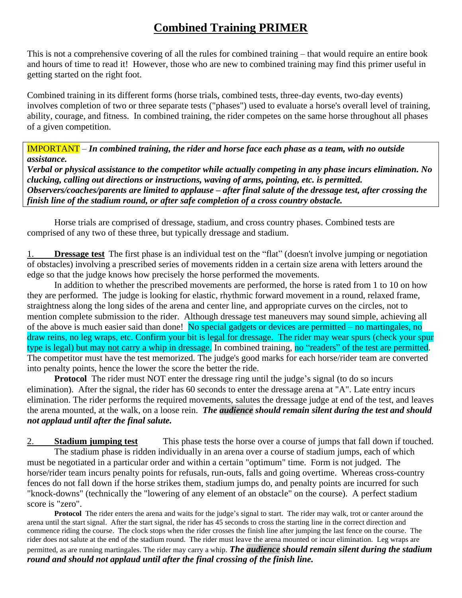## **Combined Training PRIMER**

This is not a comprehensive covering of all the rules for combined training – that would require an entire book and hours of time to read it! However, those who are new to combined training may find this primer useful in getting started on the right foot.

Combined training in its different forms (horse trials, combined tests, three-day events, two-day events) involves completion of two or three separate tests ("phases") used to evaluate a horse's overall level of training, ability, courage, and fitness. In combined training, the rider competes on the same horse throughout all phases of a given competition.

IMPORTANT – *In combined training, the rider and horse face each phase as a team, with no outside assistance.*

*Verbal or physical assistance to the competitor while actually competing in any phase incurs elimination. No clucking, calling out directions or instructions, waving of arms, pointing, etc. is permitted. Observers/coaches/parents are limited to applause – after final salute of the dressage test, after crossing the finish line of the stadium round, or after safe completion of a cross country obstacle.*

Horse trials are comprised of dressage, stadium, and cross country phases. Combined tests are comprised of any two of these three, but typically dressage and stadium.

**Dressage test** The first phase is an individual test on the "flat" (doesn't involve jumping or negotiation of obstacles) involving a prescribed series of movements ridden in a certain size arena with letters around the edge so that the judge knows how precisely the horse performed the movements.

In addition to whether the prescribed movements are performed, the horse is rated from 1 to 10 on how they are performed. The judge is looking for elastic, rhythmic forward movement in a round, relaxed frame, straightness along the long sides of the arena and center line, and appropriate curves on the circles, not to mention complete submission to the rider. Although dressage test maneuvers may sound simple, achieving all of the above is much easier said than done! No special gadgets or devices are permitted – no martingales, no draw reins, no leg wraps, etc. Confirm your bit is legal for dressage. The rider may wear spurs (check your spur type is legal) but may not carry a whip in dressage. In combined training, no "readers" of the test are permitted. The competitor must have the test memorized. The judge's good marks for each horse/rider team are converted into penalty points, hence the lower the score the better the ride.

**Protocol** The rider must NOT enter the dressage ring until the judge's signal (to do so incurs elimination). After the signal, the rider has 60 seconds to enter the dressage arena at "A". Late entry incurs elimination. The rider performs the required movements, salutes the dressage judge at end of the test, and leaves the arena mounted, at the walk, on a loose rein. *The audience should remain silent during the test and should not applaud until after the final salute.*

2. **Stadium jumping test** This phase tests the horse over a course of jumps that fall down if touched. The stadium phase is ridden individually in an arena over a course of stadium jumps, each of which must be negotiated in a particular order and within a certain "optimum" time. Form is not judged. The horse/rider team incurs penalty points for refusals, run-outs, falls and going overtime. Whereas cross-country fences do not fall down if the horse strikes them, stadium jumps do, and penalty points are incurred for such "knock-downs" (technically the "lowering of any element of an obstacle" on the course). A perfect stadium score is "zero".

**Protocol** The rider enters the arena and waits for the judge's signal to start. The rider may walk, trot or canter around the arena until the start signal. After the start signal, the rider has 45 seconds to cross the starting line in the correct direction and commence riding the course. The clock stops when the rider crosses the finish line after jumping the last fence on the course. The rider does not salute at the end of the stadium round. The rider must leave the arena mounted or incur elimination. Leg wraps are permitted, as are running martingales. The rider may carry a whip. *The audience should remain silent during the stadium round and should not applaud until after the final crossing of the finish line.*